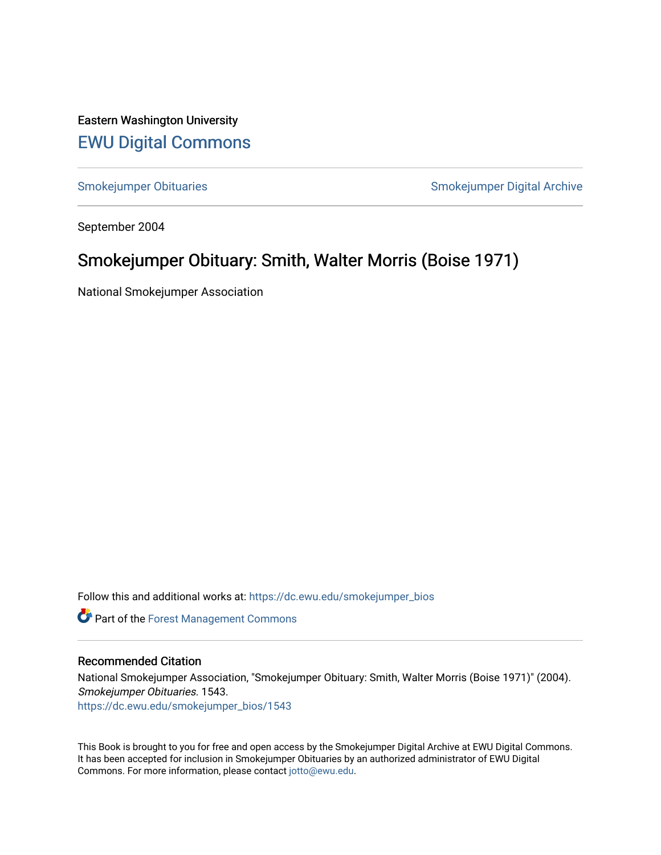Eastern Washington University [EWU Digital Commons](https://dc.ewu.edu/)

[Smokejumper Obituaries](https://dc.ewu.edu/smokejumper_bios) **Smokeyer Community** Smokejumper Digital Archive

September 2004

## Smokejumper Obituary: Smith, Walter Morris (Boise 1971)

National Smokejumper Association

Follow this and additional works at: [https://dc.ewu.edu/smokejumper\\_bios](https://dc.ewu.edu/smokejumper_bios?utm_source=dc.ewu.edu%2Fsmokejumper_bios%2F1543&utm_medium=PDF&utm_campaign=PDFCoverPages) 

**Part of the [Forest Management Commons](http://network.bepress.com/hgg/discipline/92?utm_source=dc.ewu.edu%2Fsmokejumper_bios%2F1543&utm_medium=PDF&utm_campaign=PDFCoverPages)** 

## Recommended Citation

National Smokejumper Association, "Smokejumper Obituary: Smith, Walter Morris (Boise 1971)" (2004). Smokejumper Obituaries. 1543. [https://dc.ewu.edu/smokejumper\\_bios/1543](https://dc.ewu.edu/smokejumper_bios/1543?utm_source=dc.ewu.edu%2Fsmokejumper_bios%2F1543&utm_medium=PDF&utm_campaign=PDFCoverPages)

This Book is brought to you for free and open access by the Smokejumper Digital Archive at EWU Digital Commons. It has been accepted for inclusion in Smokejumper Obituaries by an authorized administrator of EWU Digital Commons. For more information, please contact [jotto@ewu.edu.](mailto:jotto@ewu.edu)